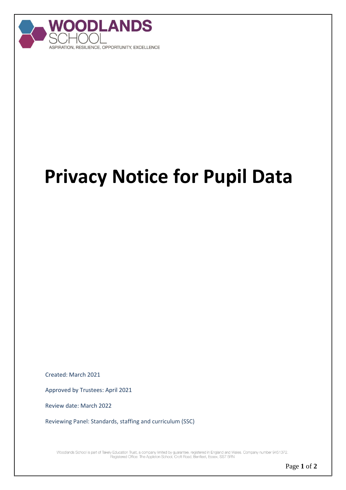

## **Privacy Notice for Pupil Data**

Created: March 2021

Approved by Trustees: April 2021

Review date: March 2022

Reviewing Panel: Standards, staffing and curriculum (SSC)

Woodlands School is part of Takely Education Trust, a company limited by guarantee, registered in England and Wales. Company number 9451372.<br>Registered Office: The Appleton School, Croft Road, Benfleet, Essex, SS7 5RN